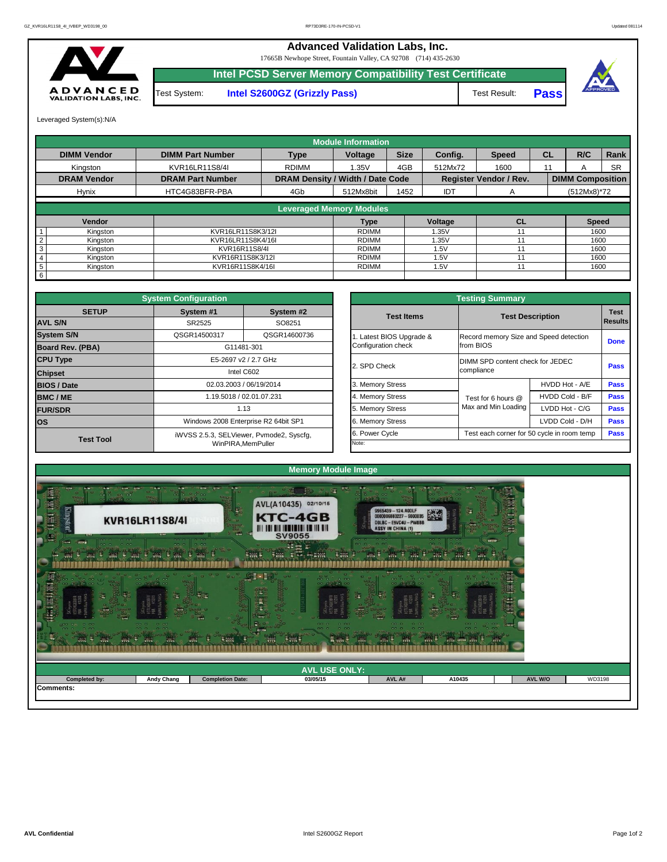

| .<br><b>Contract Contract</b><br>W.<br>$\mathbf{r} = \mathbf{r} \cdot \mathbf{r}$<br>$-0$ $-0$<br>$-2$ $-2$<br>$\begin{array}{ccc} \bullet & \bullet & \bullet \end{array}$<br>■ ■<br>$-13.3$<br>$\frac{1}{2}$<br>÷. | $-0.00$<br>$-0.01$ $-0.1$<br>$  -$<br>$-0.01 - 0.01$<br>100<br>1992 | <b>ARM</b><br><b>CONTRACTOR</b><br><b>Black on Pr</b><br>5 iuni<br>$-1$ | $-$<br><b>STEP 18</b><br>1011<br>000<br>$-0.00$<br>$-0.00$<br>$-0.001$<br>$\overline{1111}$<br>t wik<br><b>Sec.</b><br>a svo | <b>COMPANY</b><br>$-0.001$<br>20.00<br><b>COLOR</b><br>00000<br><b>SWL</b> 5<br>$\mathbb{R}$ | <b>SARAD</b><br>tele let<br>$\sigma_{\rm c}$ and<br>$-0.0$<br><b>Since</b><br><b>SYST</b> | <b>Cardi</b><br><b>Africa</b> |        |
|----------------------------------------------------------------------------------------------------------------------------------------------------------------------------------------------------------------------|---------------------------------------------------------------------|-------------------------------------------------------------------------|------------------------------------------------------------------------------------------------------------------------------|----------------------------------------------------------------------------------------------|-------------------------------------------------------------------------------------------|-------------------------------|--------|
|                                                                                                                                                                                                                      |                                                                     |                                                                         | <b>AVL USE ONLY:</b>                                                                                                         |                                                                                              |                                                                                           |                               |        |
| Completed by:                                                                                                                                                                                                        | <b>Andy Chang</b>                                                   | <b>Completion Date:</b>                                                 | 03/05/15                                                                                                                     | AVL A#                                                                                       | A10435                                                                                    | <b>AVL W/O</b>                | WD3198 |
| Comments:                                                                                                                                                                                                            |                                                                     |                                                                         |                                                                                                                              |                                                                                              |                                                                                           |                               |        |



|                         | <b>System Configuration</b> |                                          |                       | <b>Testing Summary</b>                 |                                            |                        |
|-------------------------|-----------------------------|------------------------------------------|-----------------------|----------------------------------------|--------------------------------------------|------------------------|
| <b>SETUP</b>            | System #1                   | System #2                                | <b>Test Items</b>     |                                        | <b>Test Description</b>                    | <b>Test</b><br>Results |
| <b>AVL S/N</b>          | SR2525                      | SO8251                                   |                       |                                        |                                            |                        |
| <b>System S/N</b>       | QSGR14500317                | QSGR14600736                             | Latest BIOS Upgrade & | Record memory Size and Speed detection |                                            | <b>Done</b>            |
| <b>Board Rev. (PBA)</b> |                             | G11481-301                               | Configuration check   | from BIOS                              |                                            |                        |
| <b>CPU Type</b>         |                             | E5-2697 v2 / 2.7 GHz                     | 2. SPD Check          | DIMM SPD content check for JEDEC       |                                            | <b>Pass</b>            |
| <b>Chipset</b>          |                             | Intel C602                               |                       | compliance                             |                                            |                        |
| <b>BIOS / Date</b>      |                             | 02.03.2003 / 06/19/2014                  | <b>Memory Stress</b>  |                                        | HVDD Hot - A/E                             | <b>Pass</b>            |
| <b>BMC/ME</b>           |                             | 1.19.5018 / 02.01.07.231                 | 4. Memory Stress      | Test for 6 hours @                     | HVDD Cold - B/F                            | <b>Pass</b>            |
| <b>FUR/SDR</b>          |                             | 1.13                                     | 5. Memory Stress      | Max and Min Loading                    | LVDD Hot - C/G                             | <b>Pass</b>            |
| <b>los</b>              |                             | Windows 2008 Enterprise R2 64bit SP1     | 6. Memory Stress      |                                        | LVDD Cold - D/H                            | <b>Pass</b>            |
| <b>Test Tool</b>        |                             | iWVSS 2.5.3, SELViewer, Pvmode2, Syscfg, | 6. Power Cycle        |                                        | Test each corner for 50 cycle in room temp | <b>Pass</b>            |
|                         |                             | WinPIRA, MemPuller                       | Note:                 |                                        |                                            |                        |

|                 |                    |                         |                                         | <b>Module Information</b> |             |            |                               |           |                         |             |
|-----------------|--------------------|-------------------------|-----------------------------------------|---------------------------|-------------|------------|-------------------------------|-----------|-------------------------|-------------|
|                 | <b>DIMM Vendor</b> | <b>DIMM Part Number</b> | <b>Type</b>                             | <b>Voltage</b>            | <b>Size</b> | Config.    | <b>Speed</b>                  | <b>CL</b> | R/C                     | <b>Rank</b> |
|                 | Kingston           | KVR16LR11S8/4I          | <b>RDIMM</b>                            | 1.35V                     | 4GB         | 512Mx72    | 1600                          | 11        |                         | <b>SR</b>   |
|                 | <b>DRAM Vendor</b> | <b>DRAM Part Number</b> | <b>DRAM Density / Width / Date Code</b> |                           |             |            | <b>Register Vendor / Rev.</b> |           | <b>DIMM Composition</b> |             |
|                 | <b>Hynix</b>       | HTC4G83BFR-PBA          | 4Gb                                     | 512Mx8bit                 | 1452        | <b>IDT</b> | $\mathsf{A}$                  |           | $(512Mx8)*72$           |             |
|                 |                    |                         |                                         |                           |             |            |                               |           |                         |             |
|                 |                    |                         | <b>Leveraged Memory Modules</b>         |                           |             |            |                               |           |                         |             |
|                 | Vendor             |                         |                                         | Type                      |             | Voltage    | <b>CL</b>                     |           | <b>Speed</b>            |             |
|                 | Kingston           | KVR16LR11S8K3/12I       |                                         | RDIMM                     |             | 1.35V      | 11                            |           | 1600                    |             |
|                 | Kingston           | KVR16LR11S8K4/16I       |                                         | <b>RDIMM</b>              |             | .35V       |                               |           | 1600                    |             |
| 3               | Kingston           | KVR16R11S8/4I           |                                         | RDIMM                     |             | 1.5V       | 11                            |           | 1600                    |             |
|                 | Kingston           | KVR16R11S8K3/12I        |                                         | <b>RDIMM</b>              |             | 1.5V       |                               |           | 1600                    |             |
| $5\phantom{.0}$ | Kingston           | KVR16R11S8K4/16I        |                                         | RDIMM                     |             | 1.5V       |                               |           | 1600                    |             |
| 6               |                    |                         |                                         |                           |             |            |                               |           |                         |             |

|              | <b>System Configuration</b> |                                          |                       | <b>Testing Summary</b>                     |                 |                |
|--------------|-----------------------------|------------------------------------------|-----------------------|--------------------------------------------|-----------------|----------------|
| <b>SETUP</b> | System #1                   | System #2                                | <b>Test Items</b>     | <b>Test Description</b>                    |                 | <b>Test</b>    |
|              | SR2525                      | SO8251                                   |                       |                                            |                 | <b>Results</b> |
|              | QSGR14500317                | QSGR14600736                             | Latest BIOS Upgrade & | Record memory Size and Speed detection     |                 |                |
| PBA)         |                             | G11481-301                               | Configuration check   | from BIOS                                  |                 | <b>Done</b>    |
|              |                             | E5-2697 v2 / 2.7 GHz                     |                       | DIMM SPD content check for JEDEC           |                 |                |
|              |                             | Intel C602                               | 2. SPD Check          | compliance                                 |                 | <b>Pass</b>    |
|              |                             | 02.03.2003 / 06/19/2014                  | 3. Memory Stress      |                                            | HVDD Hot - A/E  | <b>Pass</b>    |
|              |                             | 1.19.5018 / 02.01.07.231                 | 4. Memory Stress      | Test for 6 hours @                         | HVDD Cold - B/F | <b>Pass</b>    |
|              |                             | 1.13                                     | 5. Memory Stress      | Max and Min Loading                        | LVDD Hot - C/G  | <b>Pass</b>    |
|              |                             | Windows 2008 Enterprise R2 64bit SP1     | 6. Memory Stress      |                                            | LVDD Cold - D/H | <b>Pass</b>    |
|              |                             | iWVSS 2.5.3, SELViewer, Pvmode2, Syscfg, | 6. Power Cycle        | Test each corner for 50 cycle in room temp |                 | <b>Pass</b>    |
| est Tool     |                             | WinPIRA, MemPuller                       | Note:                 |                                            |                 |                |

Leveraged System(s):N/A

## **Advanced Validation Labs, Inc.**

17665B Newhope Street, Fountain Valley, CA 92708 (714) 435-2630

**Intel PCSD Server Memory Compatibility Test Certificate**

A D V A N C E D<br>VALIDATION LABS, INC.

Test System: **Intel S2600GZ (Grizzly Pass)** Test Result:

**Pass**